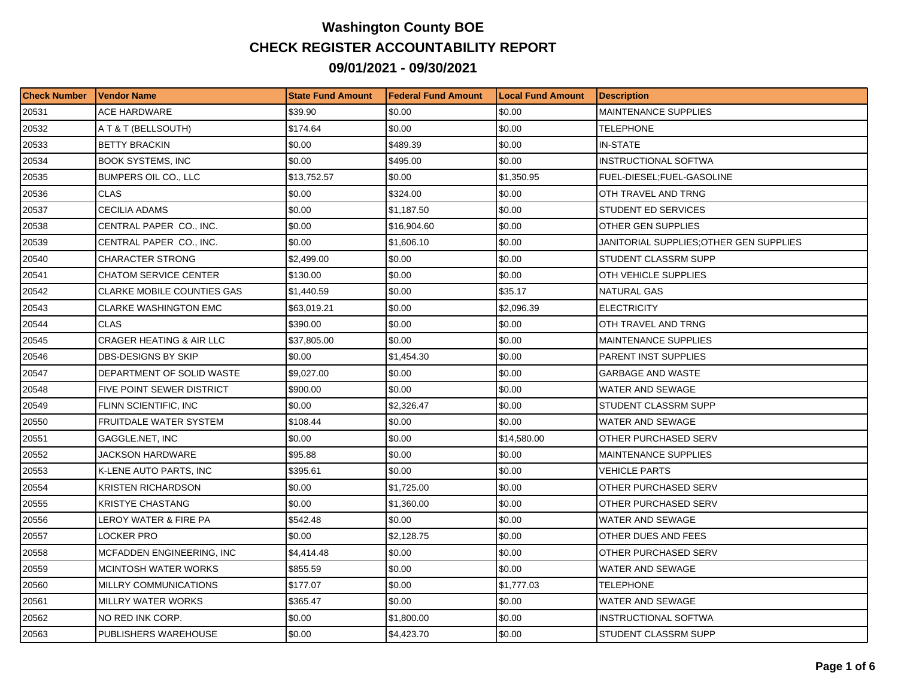## **Washington County BOE CHECK REGISTER ACCOUNTABILITY REPORT 09/01/2021 - 09/30/2021**

| <b>Check Number</b> | <b>Vendor Name</b>                  | <b>State Fund Amount</b> | l Federal Fund Amount | <b>Local Fund Amount</b> | <b>Description</b>                     |
|---------------------|-------------------------------------|--------------------------|-----------------------|--------------------------|----------------------------------------|
| 20531               | ACE HARDWARE                        | \$39.90                  | \$0.00                | \$0.00                   | <b>MAINTENANCE SUPPLIES</b>            |
| 20532               | A T & T (BELLSOUTH)                 | \$174.64                 | \$0.00                | \$0.00                   | TELEPHONE                              |
| 20533               | <b>BETTY BRACKIN</b>                | \$0.00                   | \$489.39              | \$0.00                   | <b>IN-STATE</b>                        |
| 20534               | <b>BOOK SYSTEMS, INC</b>            | \$0.00                   | \$495.00              | \$0.00                   | INSTRUCTIONAL SOFTWA                   |
| 20535               | BUMPERS OIL CO., LLC                | \$13,752.57              | \$0.00                | \$1,350.95               | FUEL-DIESEL;FUEL-GASOLINE              |
| 20536               | <b>CLAS</b>                         | \$0.00                   | \$324.00              | \$0.00                   | OTH TRAVEL AND TRNG                    |
| 20537               | <b>CECILIA ADAMS</b>                | \$0.00                   | \$1,187.50            | \$0.00                   | STUDENT ED SERVICES                    |
| 20538               | CENTRAL PAPER CO., INC.             | \$0.00                   | \$16,904.60           | \$0.00                   | OTHER GEN SUPPLIES                     |
| 20539               | CENTRAL PAPER CO., INC.             | \$0.00                   | \$1,606.10            | \$0.00                   | JANITORIAL SUPPLIES:OTHER GEN SUPPLIES |
| 20540               | <b>CHARACTER STRONG</b>             | \$2,499.00               | \$0.00                | \$0.00                   | STUDENT CLASSRM SUPP                   |
| 20541               | <b>CHATOM SERVICE CENTER</b>        | \$130.00                 | \$0.00                | \$0.00                   | OTH VEHICLE SUPPLIES                   |
| 20542               | <b>CLARKE MOBILE COUNTIES GAS</b>   | \$1,440.59               | \$0.00                | \$35.17                  | NATURAL GAS                            |
| 20543               | <b>CLARKE WASHINGTON EMC</b>        | \$63,019.21              | \$0.00                | \$2,096.39               | <b>ELECTRICITY</b>                     |
| 20544               | <b>CLAS</b>                         | \$390.00                 | \$0.00                | \$0.00                   | OTH TRAVEL AND TRNG                    |
| 20545               | <b>CRAGER HEATING &amp; AIR LLC</b> | \$37,805.00              | \$0.00                | \$0.00                   | <b>MAINTENANCE SUPPLIES</b>            |
| 20546               | DBS-DESIGNS BY SKIP                 | \$0.00                   | 51,454.30             | \$0.00                   | PARENT INST SUPPLIES                   |
| 20547               | DEPARTMENT OF SOLID WASTE           | \$9,027.00               | \$0.00                | \$0.00                   | <b>GARBAGE AND WASTE</b>               |
| 20548               | <b>FIVE POINT SEWER DISTRICT</b>    | \$900.00                 | \$0.00                | \$0.00                   | <b>WATER AND SEWAGE</b>                |
| 20549               | FLINN SCIENTIFIC, INC               | \$0.00                   | \$2,326.47            | \$0.00                   | STUDENT CLASSRM SUPP                   |
| 20550               | <b>FRUITDALE WATER SYSTEM</b>       | \$108.44                 | \$0.00                | \$0.00                   | <b>WATER AND SEWAGE</b>                |
| 20551               | GAGGLE.NET, INC                     | \$0.00                   | \$0.00                | \$14,580.00              | OTHER PURCHASED SERV                   |
| 20552               | <b>JACKSON HARDWARE</b>             | \$95.88                  | \$0.00                | \$0.00                   | <b>MAINTENANCE SUPPLIES</b>            |
| 20553               | K-LENE AUTO PARTS, INC              | \$395.61                 | \$0.00                | \$0.00                   | <b>VEHICLE PARTS</b>                   |
| 20554               | KRISTEN RICHARDSON                  | \$0.00                   | \$1,725.00            | \$0.00                   | OTHER PURCHASED SERV                   |
| 20555               | <b>KRISTYE CHASTANG</b>             | \$0.00                   | \$1,360.00            | \$0.00                   | OTHER PURCHASED SERV                   |
| 20556               | LEROY WATER & FIRE PA               | \$542.48                 | \$0.00                | \$0.00                   | <b>WATER AND SEWAGE</b>                |
| 20557               | LOCKER PRO                          | \$0.00                   | \$2,128.75            | \$0.00                   | OTHER DUES AND FEES                    |
| 20558               | MCFADDEN ENGINEERING, INC           | \$4,414.48               | \$0.00                | \$0.00                   | OTHER PURCHASED SERV                   |
| 20559               | MCINTOSH WATER WORKS                | \$855.59                 | \$0.00                | \$0.00                   | WATER AND SEWAGE                       |
| 20560               | MILLRY COMMUNICATIONS               | \$177.07                 | \$0.00                | \$1,777.03               | TELEPHONE                              |
| 20561               | MILLRY WATER WORKS                  | \$365.47                 | \$0.00                | \$0.00                   | WATER AND SEWAGE                       |
| 20562               | NO RED INK CORP.                    | \$0.00                   | \$1,800.00            | \$0.00                   | INSTRUCTIONAL SOFTWA                   |
| 20563               | PUBLISHERS WAREHOUSE                | \$0.00                   | \$4,423.70            | \$0.00                   | STUDENT CLASSRM SUPP                   |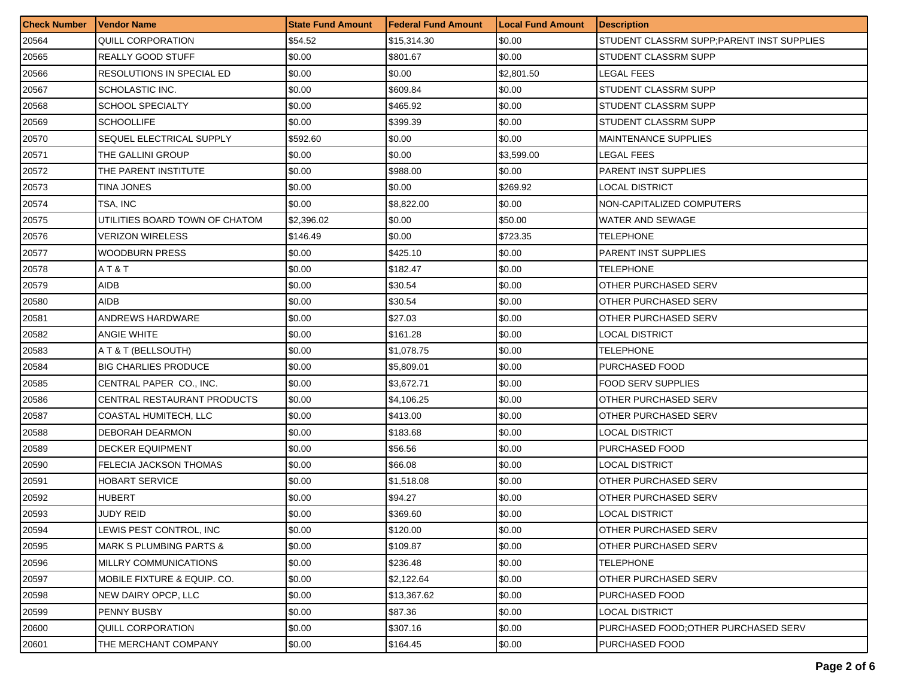| <b>Check Number</b> | <b>Vendor Name</b>                 | <b>State Fund Amount</b> | <b>Federal Fund Amount</b> | <b>Local Fund Amount</b> | <b>Description</b>                         |
|---------------------|------------------------------------|--------------------------|----------------------------|--------------------------|--------------------------------------------|
| 20564               | QUILL CORPORATION                  | \$54.52                  | \$15,314.30                | \$0.00                   | STUDENT CLASSRM SUPP; PARENT INST SUPPLIES |
| 20565               | REALLY GOOD STUFF                  | \$0.00                   | \$801.67                   | \$0.00                   | STUDENT CLASSRM SUPP                       |
| 20566               | RESOLUTIONS IN SPECIAL ED          | \$0.00                   | \$0.00                     | \$2,801.50               | LEGAL FEES                                 |
| 20567               | SCHOLASTIC INC.                    | \$0.00                   | \$609.84                   | \$0.00                   | <b>STUDENT CLASSRM SUPP</b>                |
| 20568               | <b>SCHOOL SPECIALTY</b>            | \$0.00                   | \$465.92                   | \$0.00                   | STUDENT CLASSRM SUPP                       |
| 20569               | <b>SCHOOLLIFE</b>                  | \$0.00                   | \$399.39                   | \$0.00                   | STUDENT CLASSRM SUPP                       |
| 20570               | SEQUEL ELECTRICAL SUPPLY           | \$592.60                 | \$0.00                     | \$0.00                   | <b>MAINTENANCE SUPPLIES</b>                |
| 20571               | THE GALLINI GROUP                  | \$0.00                   | \$0.00                     | \$3,599.00               | LEGAL FEES                                 |
| 20572               | THE PARENT INSTITUTE               | \$0.00                   | \$988.00                   | \$0.00                   | <b>PARENT INST SUPPLIES</b>                |
| 20573               | TINA JONES                         | \$0.00                   | \$0.00                     | \$269.92                 | LOCAL DISTRICT                             |
| 20574               | TSA, INC                           | \$0.00                   | \$8,822.00                 | \$0.00                   | NON-CAPITALIZED COMPUTERS                  |
| 20575               | UTILITIES BOARD TOWN OF CHATOM     | \$2,396.02               | \$0.00                     | \$50.00                  | WATER AND SEWAGE                           |
| 20576               | <b>VERIZON WIRELESS</b>            | \$146.49                 | \$0.00                     | \$723.35                 | TELEPHONE                                  |
| 20577               | <b>WOODBURN PRESS</b>              | \$0.00                   | \$425.10                   | \$0.00                   | <b>PARENT INST SUPPLIES</b>                |
| 20578               | AT&T                               | \$0.00                   | \$182.47                   | \$0.00                   | TELEPHONE                                  |
| 20579               | AIDB                               | \$0.00                   | \$30.54                    | \$0.00                   | OTHER PURCHASED SERV                       |
| 20580               | AIDB                               | \$0.00                   | \$30.54                    | \$0.00                   | OTHER PURCHASED SERV                       |
| 20581               | ANDREWS HARDWARE                   | \$0.00                   | \$27.03                    | \$0.00                   | OTHER PURCHASED SERV                       |
| 20582               | <b>ANGIE WHITE</b>                 | \$0.00                   | \$161.28                   | \$0.00                   | LOCAL DISTRICT                             |
| 20583               | A T & T (BELLSOUTH)                | \$0.00                   | \$1,078.75                 | \$0.00                   | TELEPHONE                                  |
| 20584               | <b>BIG CHARLIES PRODUCE</b>        | \$0.00                   | \$5,809.01                 | \$0.00                   | PURCHASED FOOD                             |
| 20585               | CENTRAL PAPER CO., INC.            | \$0.00                   | \$3,672.71                 | \$0.00                   | <b>FOOD SERV SUPPLIES</b>                  |
| 20586               | CENTRAL RESTAURANT PRODUCTS        | \$0.00                   | \$4,106.25                 | \$0.00                   | OTHER PURCHASED SERV                       |
| 20587               | COASTAL HUMITECH, LLC              | \$0.00                   | \$413.00                   | \$0.00                   | OTHER PURCHASED SERV                       |
| 20588               | DEBORAH DEARMON                    | \$0.00                   | \$183.68                   | \$0.00                   | LOCAL DISTRICT                             |
| 20589               | <b>DECKER EQUIPMENT</b>            | \$0.00                   | \$56.56                    | \$0.00                   | PURCHASED FOOD                             |
| 20590               | FELECIA JACKSON THOMAS             | \$0.00                   | \$66.08                    | \$0.00                   | LOCAL DISTRICT                             |
| 20591               | <b>HOBART SERVICE</b>              | \$0.00                   | \$1,518.08                 | \$0.00                   | OTHER PURCHASED SERV                       |
| 20592               | <b>HUBERT</b>                      | \$0.00                   | \$94.27                    | \$0.00                   | OTHER PURCHASED SERV                       |
| 20593               | JUDY REID                          | \$0.00                   | \$369.60                   | \$0.00                   | LOCAL DISTRICT                             |
| 20594               | LEWIS PEST CONTROL, INC            | \$0.00                   | \$120.00                   | \$0.00                   | <b>OTHER PURCHASED SERV</b>                |
| 20595               | <b>MARK S PLUMBING PARTS &amp;</b> | \$0.00                   | \$109.87                   | \$0.00                   | OTHER PURCHASED SERV                       |
| 20596               | MILLRY COMMUNICATIONS              | \$0.00                   | \$236.48                   | \$0.00                   | <b>TELEPHONE</b>                           |
| 20597               | MOBILE FIXTURE & EQUIP. CO.        | \$0.00                   | \$2,122.64                 | \$0.00                   | OTHER PURCHASED SERV                       |
| 20598               | NEW DAIRY OPCP, LLC                | \$0.00                   | \$13,367.62                | \$0.00                   | PURCHASED FOOD                             |
| 20599               | PENNY BUSBY                        | \$0.00                   | \$87.36                    | \$0.00                   | LOCAL DISTRICT                             |
| 20600               | QUILL CORPORATION                  | \$0.00                   | \$307.16                   | \$0.00                   | PURCHASED FOOD; OTHER PURCHASED SERV       |
| 20601               | THE MERCHANT COMPANY               | \$0.00                   | \$164.45                   | \$0.00                   | PURCHASED FOOD                             |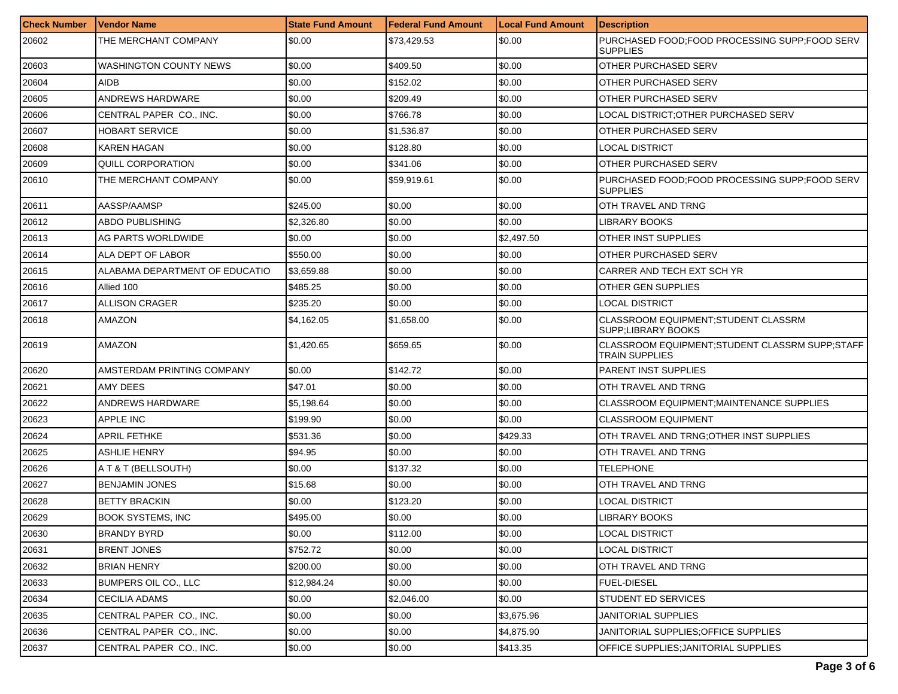| <b>Check Number</b> | Vendor Name                    | <b>State Fund Amount</b> | Federal Fund Amount | <b>Local Fund Amount</b> | <b>Description</b>                                                 |
|---------------------|--------------------------------|--------------------------|---------------------|--------------------------|--------------------------------------------------------------------|
| 20602               | THE MERCHANT COMPANY           | \$0.00                   | \$73,429.53         | \$0.00                   | PURCHASED FOOD;FOOD PROCESSING SUPP;FOOD SERV<br>SUPPLIES          |
| 20603               | WASHINGTON COUNTY NEWS         | \$0.00                   | \$409.50            | \$0.00                   | OTHER PURCHASED SERV                                               |
| 20604               | <b>AIDB</b>                    | \$0.00                   | \$152.02            | \$0.00                   | OTHER PURCHASED SERV                                               |
| 20605               | ANDREWS HARDWARE               | \$0.00                   | \$209.49            | \$0.00                   | OTHER PURCHASED SERV                                               |
| 20606               | CENTRAL PAPER CO., INC.        | \$0.00                   | \$766.78            | \$0.00                   | LOCAL DISTRICT: OTHER PURCHASED SERV                               |
| 20607               | <b>HOBART SERVICE</b>          | \$0.00                   | \$1,536.87          | \$0.00                   | OTHER PURCHASED SERV                                               |
| 20608               | <b>KAREN HAGAN</b>             | \$0.00                   | \$128.80            | \$0.00                   | LOCAL DISTRICT                                                     |
| 20609               | <b>QUILL CORPORATION</b>       | \$0.00                   | \$341.06            | \$0.00                   | OTHER PURCHASED SERV                                               |
| 20610               | THE MERCHANT COMPANY           | \$0.00                   | \$59,919.61         | \$0.00                   | PURCHASED FOOD:FOOD PROCESSING SUPP:FOOD SERV<br><b>SUPPLIES</b>   |
| 20611               | AASSP/AAMSP                    | \$245.00                 | \$0.00              | \$0.00                   | OTH TRAVEL AND TRNG                                                |
| 20612               | ABDO PUBLISHING                | \$2,326.80               | \$0.00              | \$0.00                   | LIBRARY BOOKS                                                      |
| 20613               | AG PARTS WORLDWIDE             | \$0.00                   | \$0.00              | \$2,497.50               | OTHER INST SUPPLIES                                                |
| 20614               | ALA DEPT OF LABOR              | \$550.00                 | \$0.00              | \$0.00                   | OTHER PURCHASED SERV                                               |
| 20615               | ALABAMA DEPARTMENT OF EDUCATIO | \$3,659.88               | \$0.00              | \$0.00                   | CARRER AND TECH EXT SCH YR                                         |
| 20616               | Allied 100                     | \$485.25                 | \$0.00              | \$0.00                   | OTHER GEN SUPPLIES                                                 |
| 20617               | ALLISON CRAGER                 | \$235.20                 | \$0.00              | \$0.00                   | LOCAL DISTRICT                                                     |
| 20618               | AMAZON                         | \$4,162.05               | \$1,658.00          | \$0.00                   | CLASSROOM EQUIPMENT:STUDENT CLASSRM<br><b>SUPP:LIBRARY BOOKS</b>   |
| 20619               | AMAZON                         | \$1,420.65               | \$659.65            | \$0.00                   | CLASSROOM EQUIPMENT; STUDENT CLASSRM SUPP; STAFF<br>TRAIN SUPPLIES |
| 20620               | AMSTERDAM PRINTING COMPANY     | \$0.00                   | \$142.72            | \$0.00                   | <b>PARENT INST SUPPLIES</b>                                        |
| 20621               | <b>AMY DEES</b>                | \$47.01                  | \$0.00              | \$0.00                   | OTH TRAVEL AND TRNG                                                |
| 20622               | ANDREWS HARDWARE               | \$5,198.64               | \$0.00              | \$0.00                   | CLASSROOM EQUIPMENT MAINTENANCE SUPPLIES                           |
| 20623               | APPLE INC                      | \$199.90                 | \$0.00              | \$0.00                   | CLASSROOM EQUIPMENT                                                |
| 20624               | <b>APRIL FETHKE</b>            | \$531.36                 | \$0.00              | \$429.33                 | OTH TRAVEL AND TRNG:OTHER INST SUPPLIES                            |
| 20625               | ASHLIE HENRY                   | \$94.95                  | \$0.00              | \$0.00                   | OTH TRAVEL AND TRNG                                                |
| 20626               | A T & T (BELLSOUTH)            | \$0.00                   | \$137.32            | \$0.00                   | <b>TELEPHONE</b>                                                   |
| 20627               | <b>BENJAMIN JONES</b>          | \$15.68                  | \$0.00              | \$0.00                   | OTH TRAVEL AND TRNG                                                |
| 20628               | <b>BETTY BRACKIN</b>           | \$0.00                   | \$123.20            | \$0.00                   | <b>LOCAL DISTRICT</b>                                              |
| 20629               | <b>BOOK SYSTEMS, INC</b>       | \$495.00                 | \$0.00              | \$0.00                   | <b>LIBRARY BOOKS</b>                                               |
| 20630               | <b>BRANDY BYRD</b>             | \$0.00                   | \$112.00            | \$0.00                   | LOCAL DISTRICT                                                     |
| 20631               | <b>BRENT JONES</b>             | \$752.72                 | \$0.00              | \$0.00                   | <b>LOCAL DISTRICT</b>                                              |
| 20632               | <b>BRIAN HENRY</b>             | \$200.00                 | \$0.00              | \$0.00                   | OTH TRAVEL AND TRNG                                                |
| 20633               | <b>BUMPERS OIL CO., LLC</b>    | \$12,984.24              | \$0.00              | \$0.00                   | <b>FUEL-DIESEL</b>                                                 |
| 20634               | <b>CECILIA ADAMS</b>           | \$0.00                   | \$2,046.00          | \$0.00                   | <b>STUDENT ED SERVICES</b>                                         |
| 20635               | CENTRAL PAPER CO., INC.        | \$0.00                   | \$0.00              | \$3,675.96               | JANITORIAL SUPPLIES                                                |
| 20636               | CENTRAL PAPER CO., INC.        | \$0.00                   | \$0.00              | \$4,875.90               | JANITORIAL SUPPLIES: OF FICE SUPPLIES                              |
| 20637               | CENTRAL PAPER CO., INC.        | \$0.00                   | \$0.00              | \$413.35                 | OFFICE SUPPLIES; JANITORIAL SUPPLIES                               |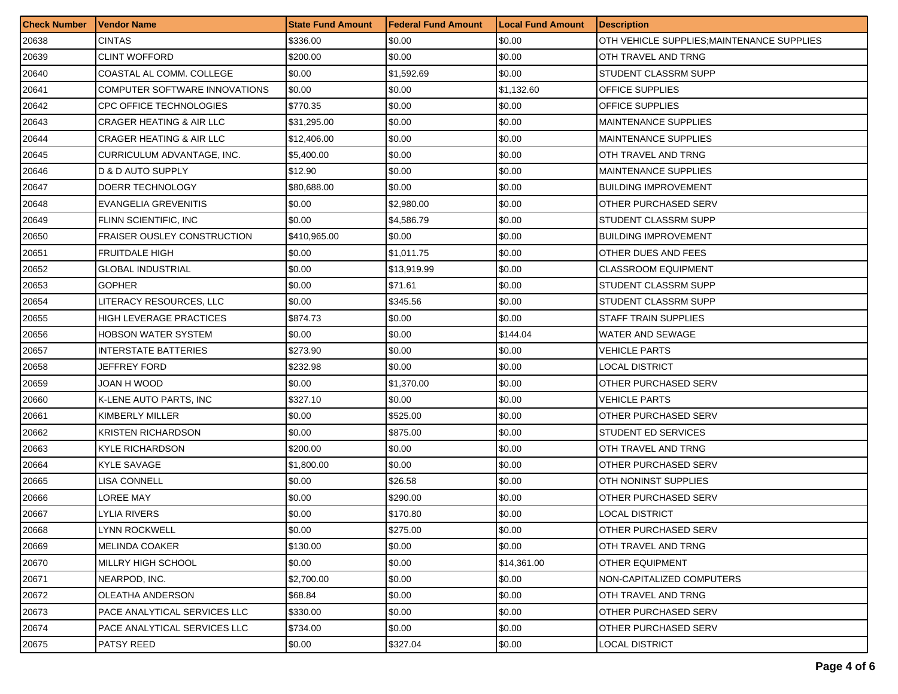| <b>Check Number</b> | Vendor Name                         | <b>State Fund Amount</b> | <b>Federal Fund Amount</b> | <b>Local Fund Amount</b> | <b>Description</b>                         |
|---------------------|-------------------------------------|--------------------------|----------------------------|--------------------------|--------------------------------------------|
| 20638               | <b>CINTAS</b>                       | \$336.00                 | \$0.00                     | \$0.00                   | OTH VEHICLE SUPPLIES; MAINTENANCE SUPPLIES |
| 20639               | <b>CLINT WOFFORD</b>                | \$200.00                 | \$0.00                     | \$0.00                   | OTH TRAVEL AND TRNG                        |
| 20640               | COASTAL AL COMM. COLLEGE            | \$0.00                   | \$1,592.69                 | \$0.00                   | STUDENT CLASSRM SUPP                       |
| 20641               | COMPUTER SOFTWARE INNOVATIONS       | \$0.00                   | \$0.00                     | \$1,132.60               | OFFICE SUPPLIES                            |
| 20642               | <b>CPC OFFICE TECHNOLOGIES</b>      | \$770.35                 | \$0.00                     | \$0.00                   | OFFICE SUPPLIES                            |
| 20643               | <b>CRAGER HEATING &amp; AIR LLC</b> | \$31,295.00              | \$0.00                     | \$0.00                   | <b>MAINTENANCE SUPPLIES</b>                |
| 20644               | <b>CRAGER HEATING &amp; AIR LLC</b> | \$12,406.00              | \$0.00                     | \$0.00                   | <b>MAINTENANCE SUPPLIES</b>                |
| 20645               | CURRICULUM ADVANTAGE, INC.          | \$5,400.00               | \$0.00                     | \$0.00                   | OTH TRAVEL AND TRNG                        |
| 20646               | D & D AUTO SUPPLY                   | \$12.90                  | \$0.00                     | \$0.00                   | <b>MAINTENANCE SUPPLIES</b>                |
| 20647               | DOERR TECHNOLOGY                    | \$80,688.00              | \$0.00                     | \$0.00                   | <b>BUILDING IMPROVEMENT</b>                |
| 20648               | EVANGELIA GREVENITIS                | \$0.00                   | \$2,980.00                 | \$0.00                   | <b>OTHER PURCHASED SERV</b>                |
| 20649               | <b>FLINN SCIENTIFIC, INC</b>        | \$0.00                   | \$4,586.79                 | \$0.00                   | STUDENT CLASSRM SUPP                       |
| 20650               | <b>FRAISER OUSLEY CONSTRUCTION</b>  | \$410,965.00             | \$0.00                     | \$0.00                   | <b>BUILDING IMPROVEMENT</b>                |
| 20651               | <b>FRUITDALE HIGH</b>               | \$0.00                   | \$1,011.75                 | \$0.00                   | OTHER DUES AND FEES                        |
| 20652               | <b>GLOBAL INDUSTRIAL</b>            | \$0.00                   | \$13,919.99                | \$0.00                   | <b>CLASSROOM EQUIPMENT</b>                 |
| 20653               | <b>GOPHER</b>                       | \$0.00                   | \$71.61                    | \$0.00                   | STUDENT CLASSRM SUPP                       |
| 20654               | LITERACY RESOURCES, LLC             | \$0.00                   | \$345.56                   | \$0.00                   | STUDENT CLASSRM SUPP                       |
| 20655               | <b>HIGH LEVERAGE PRACTICES</b>      | \$874.73                 | \$0.00                     | \$0.00                   | <b>STAFF TRAIN SUPPLIES</b>                |
| 20656               | <b>HOBSON WATER SYSTEM</b>          | \$0.00                   | \$0.00                     | \$144.04                 | WATER AND SEWAGE                           |
| 20657               | INTERSTATE BATTERIES                | \$273.90                 | \$0.00                     | \$0.00                   | VEHICLE PARTS                              |
| 20658               | JEFFREY FORD                        | \$232.98                 | \$0.00                     | \$0.00                   | LOCAL DISTRICT                             |
| 20659               | JOAN H WOOD                         | \$0.00                   | \$1,370.00                 | \$0.00                   | OTHER PURCHASED SERV                       |
| 20660               | K-LENE AUTO PARTS, INC              | \$327.10                 | \$0.00                     | \$0.00                   | VEHICLE PARTS                              |
| 20661               | KIMBERLY MILLER                     | \$0.00                   | \$525.00                   | \$0.00                   | OTHER PURCHASED SERV                       |
| 20662               | <b>KRISTEN RICHARDSON</b>           | \$0.00                   | \$875.00                   | \$0.00                   | STUDENT ED SERVICES                        |
| 20663               | <b>KYLE RICHARDSON</b>              | \$200.00                 | \$0.00                     | \$0.00                   | OTH TRAVEL AND TRNG                        |
| 20664               | <b>KYLE SAVAGE</b>                  | \$1,800.00               | \$0.00                     | \$0.00                   | OTHER PURCHASED SERV                       |
| 20665               | LISA CONNELL                        | \$0.00                   | \$26.58                    | \$0.00                   | OTH NONINST SUPPLIES                       |
| 20666               | LOREE MAY                           | \$0.00                   | \$290.00                   | \$0.00                   | OTHER PURCHASED SERV                       |
| 20667               | LYLIA RIVERS                        | \$0.00                   | \$170.80                   | \$0.00                   | LOCAL DISTRICT                             |
| 20668               | <b>LYNN ROCKWELL</b>                | \$0.00                   | \$275.00                   | \$0.00                   | <b>OTHER PURCHASED SERV</b>                |
| 20669               | <b>MELINDA COAKER</b>               | \$130.00                 | \$0.00                     | \$0.00                   | OTH TRAVEL AND TRNG                        |
| 20670               | MILLRY HIGH SCHOOL                  | \$0.00                   | \$0.00                     | \$14,361.00              | OTHER EQUIPMENT                            |
| 20671               | NEARPOD, INC.                       | \$2,700.00               | \$0.00                     | \$0.00                   | NON-CAPITALIZED COMPUTERS                  |
| 20672               | OLEATHA ANDERSON                    | \$68.84                  | \$0.00                     | \$0.00                   | OTH TRAVEL AND TRNG                        |
| 20673               | PACE ANALYTICAL SERVICES LLC        | \$330.00                 | \$0.00                     | \$0.00                   | OTHER PURCHASED SERV                       |
| 20674               | PACE ANALYTICAL SERVICES LLC        | \$734.00                 | \$0.00                     | \$0.00                   | OTHER PURCHASED SERV                       |
| 20675               | <b>PATSY REED</b>                   | \$0.00                   | \$327.04                   | \$0.00                   | <b>LOCAL DISTRICT</b>                      |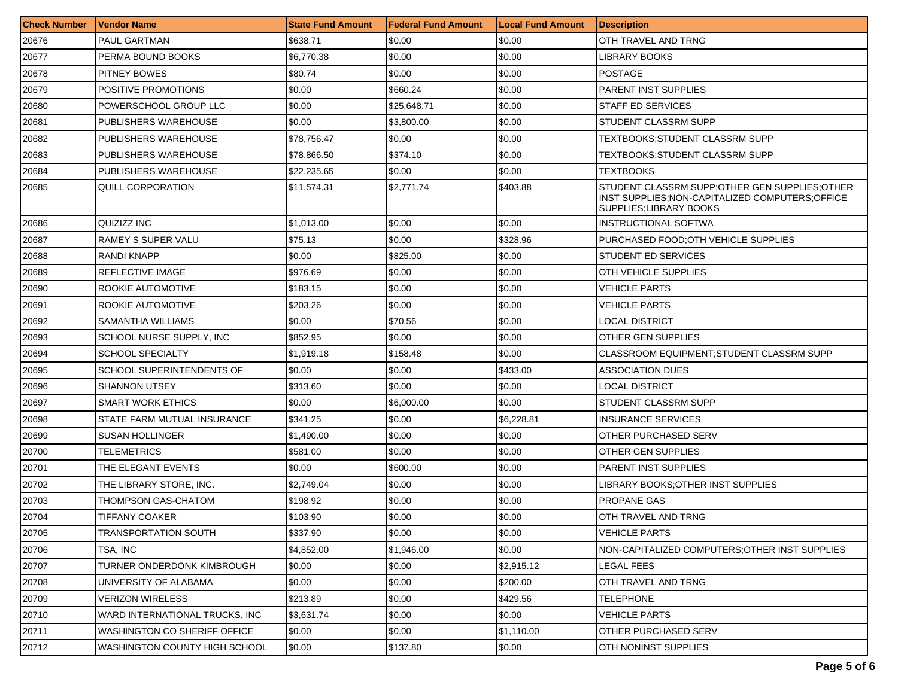| <b>Check Number</b> | Vendor Name                    | <b>State Fund Amount</b> | Federal Fund Amount | <b>Local Fund Amount</b> | <b>Description</b>                                                                                                            |
|---------------------|--------------------------------|--------------------------|---------------------|--------------------------|-------------------------------------------------------------------------------------------------------------------------------|
| 20676               | PAUL GARTMAN                   | \$638.71                 | \$0.00              | \$0.00                   | OTH TRAVEL AND TRNG                                                                                                           |
| 20677               | PERMA BOUND BOOKS              | \$6,770.38               | \$0.00              | \$0.00                   | LIBRARY BOOKS                                                                                                                 |
| 20678               | <b>PITNEY BOWES</b>            | \$80.74                  | \$0.00              | \$0.00                   | <b>POSTAGE</b>                                                                                                                |
| 20679               | <b>POSITIVE PROMOTIONS</b>     | \$0.00                   | \$660.24            | \$0.00                   | <b>PARENT INST SUPPLIES</b>                                                                                                   |
| 20680               | POWERSCHOOL GROUP LLC          | \$0.00                   | \$25,648.71         | \$0.00                   | <b>STAFF ED SERVICES</b>                                                                                                      |
| 20681               | PUBLISHERS WAREHOUSE           | \$0.00                   | \$3,800.00          | \$0.00                   | STUDENT CLASSRM SUPP                                                                                                          |
| 20682               | PUBLISHERS WAREHOUSE           | \$78,756.47              | \$0.00              | \$0.00                   | TEXTBOOKS:STUDENT CLASSRM SUPP                                                                                                |
| 20683               | PUBLISHERS WAREHOUSE           | \$78,866.50              | \$374.10            | \$0.00                   | TEXTBOOKS:STUDENT CLASSRM SUPP                                                                                                |
| 20684               | <b>PUBLISHERS WAREHOUSE</b>    | \$22,235.65              | \$0.00              | \$0.00                   | <b>TEXTBOOKS</b>                                                                                                              |
| 20685               | <b>QUILL CORPORATION</b>       | \$11,574.31              | \$2,771.74          | \$403.88                 | STUDENT CLASSRM SUPP; OTHER GEN SUPPLIES; OTHER<br>INST SUPPLIES; NON-CAPITALIZED COMPUTERS; OFFICE<br>SUPPLIES;LIBRARY BOOKS |
| 20686               | QUIZIZZ INC                    | \$1,013.00               | \$0.00              | \$0.00                   | <b>INSTRUCTIONAL SOFTWA</b>                                                                                                   |
| 20687               | RAMEY S SUPER VALU             | \$75.13                  | \$0.00              | \$328.96                 | PURCHASED FOOD; OTH VEHICLE SUPPLIES                                                                                          |
| 20688               | RANDI KNAPP                    | \$0.00                   | \$825.00            | \$0.00                   | STUDENT ED SERVICES                                                                                                           |
| 20689               | REFLECTIVE IMAGE               | \$976.69                 | \$0.00              | \$0.00                   | OTH VEHICLE SUPPLIES                                                                                                          |
| 20690               | ROOKIE AUTOMOTIVE              | \$183.15                 | \$0.00              | \$0.00                   | VEHICLE PARTS                                                                                                                 |
| 20691               | ROOKIE AUTOMOTIVE              | \$203.26                 | \$0.00              | \$0.00                   | VEHICLE PARTS                                                                                                                 |
| 20692               | SAMANTHA WILLIAMS              | \$0.00                   | \$70.56             | \$0.00                   | LOCAL DISTRICT                                                                                                                |
| 20693               | SCHOOL NURSE SUPPLY, INC       | \$852.95                 | \$0.00              | \$0.00                   | OTHER GEN SUPPLIES                                                                                                            |
| 20694               | <b>SCHOOL SPECIALTY</b>        | \$1,919.18               | \$158.48            | \$0.00                   | CLASSROOM EQUIPMENT;STUDENT CLASSRM SUPP                                                                                      |
| 20695               | SCHOOL SUPERINTENDENTS OF      | \$0.00                   | \$0.00              | \$433.00                 | <b>ASSOCIATION DUES</b>                                                                                                       |
| 20696               | <b>SHANNON UTSEY</b>           | \$313.60                 | \$0.00              | \$0.00                   | LOCAL DISTRICT                                                                                                                |
| 20697               | <b>SMART WORK ETHICS</b>       | \$0.00                   | \$6,000.00          | \$0.00                   | STUDENT CLASSRM SUPP                                                                                                          |
| 20698               | STATE FARM MUTUAL INSURANCE    | \$341.25                 | \$0.00              | \$6,228.81               | <b>INSURANCE SERVICES</b>                                                                                                     |
| 20699               | <b>SUSAN HOLLINGER</b>         | \$1,490.00               | \$0.00              | \$0.00                   | OTHER PURCHASED SERV                                                                                                          |
| 20700               | <b>TELEMETRICS</b>             | \$581.00                 | \$0.00              | \$0.00                   | OTHER GEN SUPPLIES                                                                                                            |
| 20701               | THE ELEGANT EVENTS             | \$0.00                   | \$600.00            | \$0.00                   | <b>PARENT INST SUPPLIES</b>                                                                                                   |
| 20702               | THE LIBRARY STORE, INC.        | \$2,749.04               | \$0.00              | \$0.00                   | LIBRARY BOOKS:OTHER INST SUPPLIES                                                                                             |
| 20703               | <b>THOMPSON GAS-CHATOM</b>     | \$198.92                 | \$0.00              | \$0.00                   | PROPANE GAS                                                                                                                   |
| 20704               | <b>TIFFANY COAKER</b>          | \$103.90                 | \$0.00              | \$0.00                   | OTH TRAVEL AND TRNG                                                                                                           |
| 20705               | TRANSPORTATION SOUTH           | \$337.90                 | \$0.00              | \$0.00                   | <b>VEHICLE PARTS</b>                                                                                                          |
| 20706               | TSA, INC                       | \$4,852.00               | \$1,946.00          | \$0.00                   | NON-CAPITALIZED COMPUTERS; OTHER INST SUPPLIES                                                                                |
| 20707               | TURNER ONDERDONK KIMBROUGH     | \$0.00                   | \$0.00              | \$2,915.12               | LEGAL FEES                                                                                                                    |
| 20708               | UNIVERSITY OF ALABAMA          | \$0.00                   | \$0.00              | \$200.00                 | OTH TRAVEL AND TRNG                                                                                                           |
| 20709               | <b>VERIZON WIRELESS</b>        | \$213.89                 | \$0.00              | \$429.56                 | <b>TELEPHONE</b>                                                                                                              |
| 20710               | WARD INTERNATIONAL TRUCKS. INC | \$3,631.74               | \$0.00              | \$0.00                   | <b>VEHICLE PARTS</b>                                                                                                          |
| 20711               | WASHINGTON CO SHERIFF OFFICE   | \$0.00                   | \$0.00              | \$1,110.00               | <b>OTHER PURCHASED SERV</b>                                                                                                   |
| 20712               | WASHINGTON COUNTY HIGH SCHOOL  | \$0.00                   | \$137.80            | \$0.00                   | OTH NONINST SUPPLIES                                                                                                          |